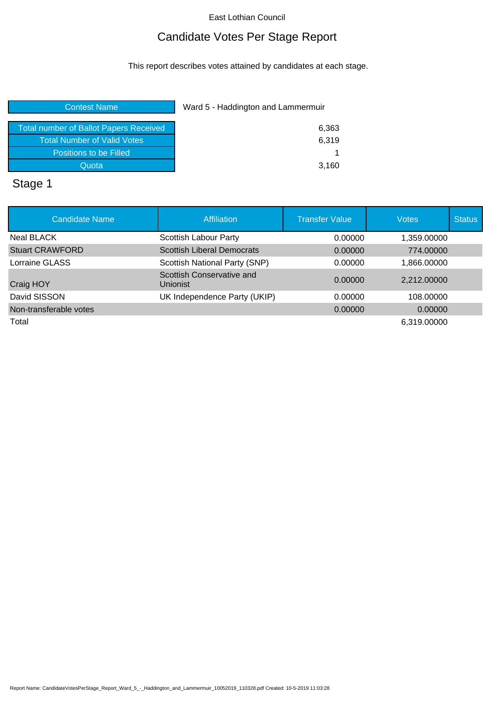# Candidate Votes Per Stage Report

This report describes votes attained by candidates at each stage.

| Total number of Ballot Papers Received | 6,363 |
|----------------------------------------|-------|
| <b>Total Number of Valid Votes</b>     | 6.319 |
| Positions to be Filled                 |       |
| Quota                                  | 3,160 |

# Stage 1

| <b>Candidate Name</b>  | <b>Affiliation</b>                    | <b>Transfer Value</b> | <b>Votes</b> | <b>Status</b> |
|------------------------|---------------------------------------|-----------------------|--------------|---------------|
| <b>Neal BLACK</b>      | Scottish Labour Party                 | 0.00000               | 1,359.00000  |               |
| <b>Stuart CRAWFORD</b> | <b>Scottish Liberal Democrats</b>     | 0.00000               | 774.00000    |               |
| Lorraine GLASS         | Scottish National Party (SNP)         | 0.00000               | 1,866.00000  |               |
| Craig HOY              | Scottish Conservative and<br>Unionist | 0.00000               | 2,212.00000  |               |
| David SISSON           | UK Independence Party (UKIP)          | 0.00000               | 108,00000    |               |
| Non-transferable votes |                                       | 0.00000               | 0.00000      |               |
| Total                  |                                       |                       | 6,319.00000  |               |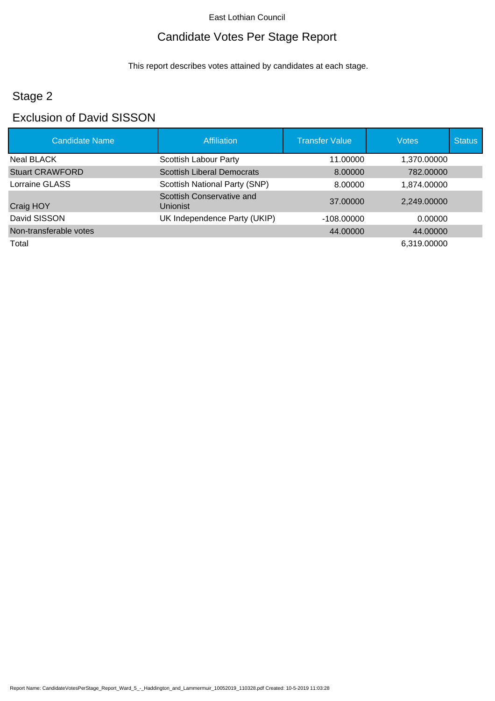# Candidate Votes Per Stage Report

This report describes votes attained by candidates at each stage.

# Stage 2

## Exclusion of David SISSON

| <b>Candidate Name</b>  | Affiliation                                  | <b>Transfer Value</b> | <b>Votes</b> | <b>Status</b> |
|------------------------|----------------------------------------------|-----------------------|--------------|---------------|
| Neal BLACK             | Scottish Labour Party                        | 11.00000              | 1,370.00000  |               |
| <b>Stuart CRAWFORD</b> | <b>Scottish Liberal Democrats</b>            | 8.00000               | 782,00000    |               |
| Lorraine GLASS         | Scottish National Party (SNP)                | 8.00000               | 1,874.00000  |               |
| Craig HOY              | Scottish Conservative and<br><b>Unionist</b> | 37,00000              | 2,249.00000  |               |
| David SISSON           | UK Independence Party (UKIP)                 | $-108.00000$          | 0.00000      |               |
| Non-transferable votes |                                              | 44.00000              | 44.00000     |               |
| Total                  |                                              |                       | 6,319.00000  |               |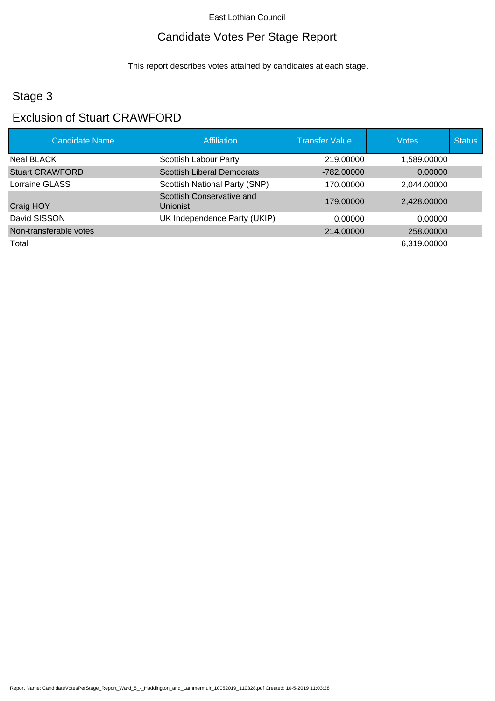# Candidate Votes Per Stage Report

This report describes votes attained by candidates at each stage.

# Stage 3

### Exclusion of Stuart CRAWFORD

| <b>Candidate Name</b>  | Affiliation                                  | <b>Transfer Value</b> | <b>Votes</b> | <b>Status</b> |
|------------------------|----------------------------------------------|-----------------------|--------------|---------------|
| Neal BLACK             | Scottish Labour Party                        | 219,00000             | 1,589.00000  |               |
| <b>Stuart CRAWFORD</b> | <b>Scottish Liberal Democrats</b>            | $-782,00000$          | 0.00000      |               |
| Lorraine GLASS         | Scottish National Party (SNP)                | 170.00000             | 2.044.00000  |               |
| Craig HOY              | Scottish Conservative and<br><b>Unionist</b> | 179,00000             | 2,428.00000  |               |
| David SISSON           | UK Independence Party (UKIP)                 | 0.00000               | 0.00000      |               |
| Non-transferable votes |                                              | 214,00000             | 258,00000    |               |
| Total                  |                                              |                       | 6,319.00000  |               |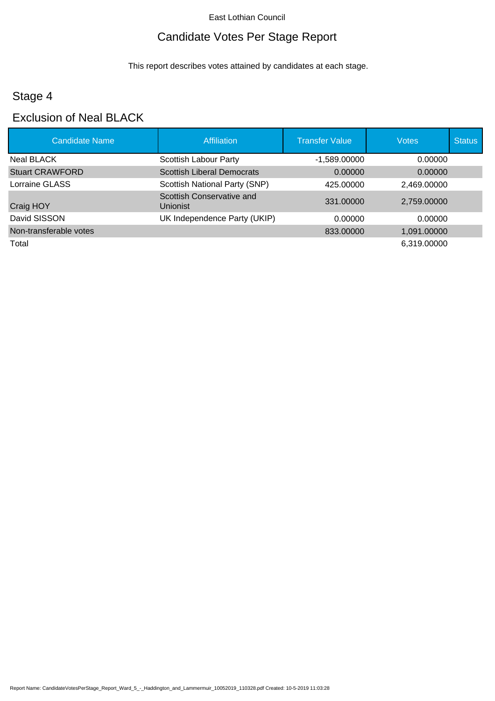# Candidate Votes Per Stage Report

This report describes votes attained by candidates at each stage.

# Stage 4

# Exclusion of Neal BLACK

| <b>Candidate Name</b>  | Affiliation                                  | <b>Transfer Value</b> | <b>Votes</b> | <b>Status</b> |
|------------------------|----------------------------------------------|-----------------------|--------------|---------------|
| Neal BLACK             | Scottish Labour Party                        | $-1,589.00000$        | 0.00000      |               |
| <b>Stuart CRAWFORD</b> | <b>Scottish Liberal Democrats</b>            | 0.00000               | 0.00000      |               |
| Lorraine GLASS         | Scottish National Party (SNP)                | 425.00000             | 2,469.00000  |               |
| Craig HOY              | Scottish Conservative and<br><b>Unionist</b> | 331.00000             | 2,759.00000  |               |
| David SISSON           | UK Independence Party (UKIP)                 | 0.00000               | 0.00000      |               |
| Non-transferable votes |                                              | 833,00000             | 1,091.00000  |               |
| Total                  |                                              |                       | 6,319.00000  |               |